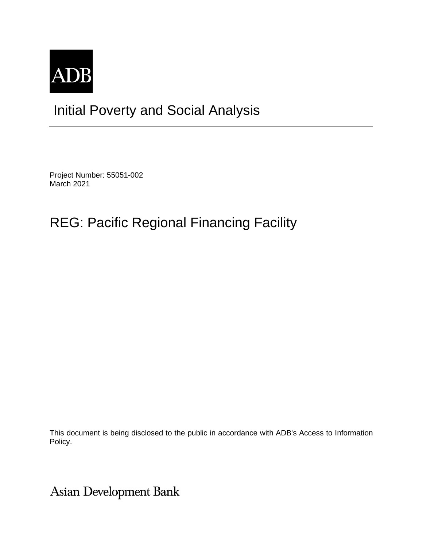

# Initial Poverty and Social Analysis

Project Number: 55051-002 March 2021

# REG: Pacific Regional Financing Facility

This document is being disclosed to the public in accordance with ADB's Access to Information Policy.

Asian Development Bank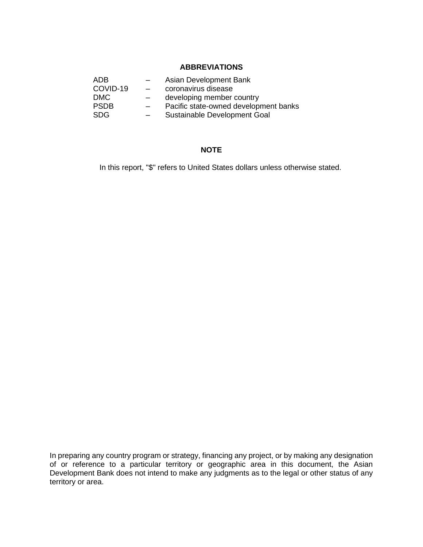## **ABBREVIATIONS**

| ADB.        |                          | Asian Development Bank                |  |
|-------------|--------------------------|---------------------------------------|--|
| COVID-19    | $\overline{\phantom{0}}$ | coronavirus disease                   |  |
| <b>DMC</b>  | -                        | developing member country             |  |
| <b>PSDB</b> | $\overline{\phantom{0}}$ | Pacific state-owned development banks |  |
| <b>SDG</b>  |                          | Sustainable Development Goal          |  |

## **NOTE**

In this report, "\$" refers to United States dollars unless otherwise stated.

In preparing any country program or strategy, financing any project, or by making any designation of or reference to a particular territory or geographic area in this document, the Asian Development Bank does not intend to make any judgments as to the legal or other status of any territory or area.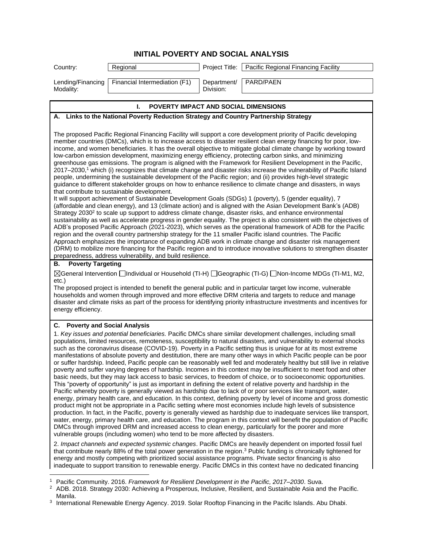| Country:                       | Regional                             |                          | Project Title:   Pacific Regional Financing Facility |
|--------------------------------|--------------------------------------|--------------------------|------------------------------------------------------|
| Lending/Financing<br>Modality: | Financial Intermediation (F1)        | Department/<br>Division: | PARD/PAEN                                            |
|                                | POVERTY IMPACT AND SOCIAL DIMENSIONS |                          |                                                      |

# **A. Links to the National Poverty Reduction Strategy and Country Partnership Strategy**

The proposed Pacific Regional Financing Facility will support a core development priority of Pacific developing member countries (DMCs), which is to increase access to disaster resilient clean energy financing for poor, lowincome, and women beneficiaries. It has the overall objective to mitigate global climate change by working toward low-carbon emission development, maximizing energy efficiency, protecting carbon sinks, and minimizing greenhouse gas emissions. The program is aligned with the Framework for Resilient Development in the Pacific, 2017–2030,<sup>1</sup> which (i) recognizes that climate change and disaster risks increase the vulnerability of Pacific Island people, undermining the sustainable development of the Pacific region; and (ii) provides high-level strategic guidance to different stakeholder groups on how to enhance resilience to climate change and disasters, in ways that contribute to sustainable development.

It will support achievement of Sustainable Development Goals (SDGs) 1 (poverty), 5 (gender equality), 7 (affordable and clean energy), and 13 (climate action) and is aligned with the Asian Development Bank's (ADB) Strategy 2030<sup>2</sup> to scale up support to address climate change, disaster risks, and enhance environmental sustainability as well as accelerate progress in gender equality. The project is also consistent with the objectives of ADB's proposed Pacific Approach (2021-2023), which serves as the operational framework of ADB for the Pacific region and the overall country partnership strategy for the 11 smaller Pacific island countries. The Pacific Approach emphasizes the importance of expanding ADB work in climate change and disaster risk management (DRM) to mobilize more financing for the Pacific region and to introduce innovative solutions to strengthen disaster preparedness, address vulnerability, and build resilience.

#### **B. Poverty Targeting**

General Intervention Individual or Household (TI-H) Geographic (TI-G) Non-Income MDGs (TI-M1, M2, etc.)

The proposed project is intended to benefit the general public and in particular target low income, vulnerable households and women through improved and more effective DRM criteria and targets to reduce and manage disaster and climate risks as part of the process for identifying priority infrastructure investments and incentives for energy efficiency.

#### **C. Poverty and Social Analysis**

1. *Key issues and potential beneficiaries.* Pacific DMCs share similar development challenges, including small populations, limited resources, remoteness, susceptibility to natural disasters, and vulnerability to external shocks such as the coronavirus disease (COVID-19). Poverty in a Pacific setting thus is unique for at its most extreme manifestations of absolute poverty and destitution, there are many other ways in which Pacific people can be poor or suffer hardship. Indeed, Pacific people can be reasonably well fed and moderately healthy but still live in relative poverty and suffer varying degrees of hardship. Incomes in this context may be insufficient to meet food and other basic needs, but they may lack access to basic services, to freedom of choice, or to socioeconomic opportunities. This "poverty of opportunity" is just as important in defining the extent of relative poverty and hardship in the Pacific whereby poverty is generally viewed as hardship due to lack of or poor services like transport, water, energy, primary health care, and education. In this context, defining poverty by level of income and gross domestic product might not be appropriate in a Pacific setting where most economies include high levels of subsistence production. In fact, in the Pacific, poverty is generally viewed as hardship due to inadequate services like transport, water, energy, primary health care, and education. The program in this context will benefit the population of Pacific DMCs through improved DRM and increased access to clean energy, particularly for the poorer and more vulnerable groups (including women) who tend to be more affected by disasters.

2. *Impact channels and expected systemic changes*. Pacific DMCs are heavily dependent on imported fossil fuel that contribute nearly 88% of the total power generation in the region.<sup>3</sup> Public funding is chronically tightened for energy and mostly competing with prioritized social assistance programs. Private sector financing is also inadequate to support transition to renewable energy. Pacific DMCs in this context have no dedicated financing

<sup>1</sup> Pacific Community. 2016. *Framework for Resilient Development in the Pacific, 2017–2030*. Suva.

<sup>2</sup> ADB. 2018. Strategy 2030: Achieving a Prosperous, Inclusive, Resilient, and Sustainable Asia and the Pacific. Manila.

<sup>3</sup> International Renewable Energy Agency. 2019. Solar Rooftop Financing in the Pacific Islands. Abu Dhabi.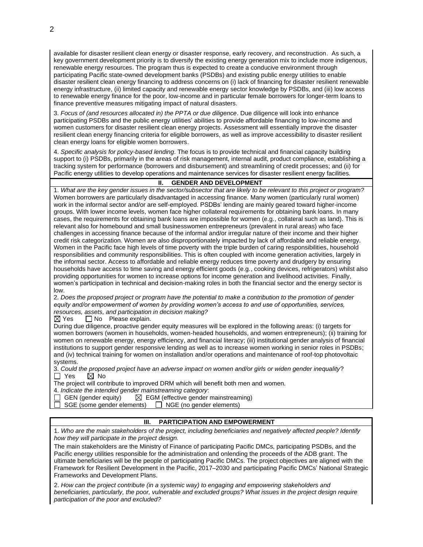available for disaster resilient clean energy or disaster response, early recovery, and reconstruction. As such, a key government development priority is to diversify the existing energy generation mix to include more indigenous, renewable energy resources. The program thus is expected to create a conducive environment through participating Pacific state-owned development banks (PSDBs) and existing public energy utilities to enable disaster resilient clean energy financing to address concerns on (i) lack of financing for disaster resilient renewable energy infrastructure, (ii) limited capacity and renewable energy sector knowledge by PSDBs, and (iii) low access to renewable energy finance for the poor, low-income and in particular female borrowers for longer-term loans to finance preventive measures mitigating impact of natural disasters.

3. *Focus of (and resources allocated in) the PPTA or due diligence*. Due diligence will look into enhance participating PSDBs and the public energy utilities' abilities to provide affordable financing to low-income and women customers for disaster resilient clean energy projects. Assessment will essentially improve the disaster resilient clean energy financing criteria for eligible borrowers, as well as improve accessibility to disaster resilient clean energy loans for eligible women borrowers.

4. *Specific analysis for policy-based lending*. The focus is to provide technical and financial capacity building support to (i) PSDBs, primarily in the areas of risk management, internal audit, product compliance, establishing a tracking system for performance (borrowers and disbursement) and streamlining of credit processes; and (ii) for Pacific energy utilities to develop operations and maintenance services for disaster resilient energy facilities.

## **II. GENDER AND DEVELOPMENT**

1. *What are the key gender issues in the sector/subsector that are likely to be relevant to this project or program?* Women borrowers are particularly disadvantaged in accessing finance. Many women (particularly rural women) work in the informal sector and/or are self-employed. PSDBs' lending are mainly geared toward higher-income groups. With lower income levels, women face higher collateral requirements for obtaining bank loans. In many cases, the requirements for obtaining bank loans are impossible for women (e.g., collateral such as land). This is relevant also for homebound and small businesswomen entrepreneurs (prevalent in rural areas) who face challenges in accessing finance because of the informal and/or irregular nature of their income and their higher credit risk categorization. Women are also disproportionately impacted by lack of affordable and reliable energy. Women in the Pacific face high levels of time poverty with the triple burden of caring responsibilities, household responsibilities and community responsibilities. This is often coupled with income generation activities, largely in the informal sector. Access to affordable and reliable energy reduces time poverty and drudgery by ensuring households have access to time saving and energy efficient goods (e.g., cooking devices, refrigerators) whilst also providing opportunities for women to increase options for income generation and livelihood activities. Finally, women's participation in technical and decision-making roles in both the financial sector and the energy sector is low.

2. *Does the proposed project or program have the potential to make a contribution to the promotion of gender equity and/or empowerment of women by providing women's access to and use of opportunities, services, resources, assets, and participation in decision making?*

 $\boxtimes$  Yes  $\Box$  No Please explain.

During due diligence, proactive gender equity measures will be explored in the following areas: (i) targets for women borrowers (women in households, women-headed households, and women entrepreneurs); (ii) training for women on renewable energy, energy efficiency, and financial literacy; (iii) institutional gender analysis of financial institutions to support gender responsive lending as well as to increase women working in senior roles in PSDBs; and (iv) technical training for women on installation and/or operations and maintenance of roof-top photovoltaic systems.

3. *Could the proposed project have an adverse impact on women and/or girls or widen gender inequality?*<br>
T Yes 
S No  $\boxtimes$  No

The project will contribute to improved DRM which will benefit both men and women.

4. *Indicate the intended gender mainstreaming category*:

 $\Box$  GEN (gender equity)  $\Box$  EGM (effective gender mainstreaming)

SGE (some gender elements)  $\Box$  NGE (no gender elements)

### **III. PARTICIPATION AND EMPOWERMENT**

1. *Who are the main stakeholders of the project, including beneficiaries and negatively affected people? Identify how they will participate in the project design.*

The main stakeholders are the Ministry of Finance of participating Pacific DMCs, participating PSDBs, and the Pacific energy utilities responsible for the administration and onlending the proceeds of the ADB grant. The ultimate beneficiaries will be the people of participating Pacific DMCs. The project objectives are aligned with the Framework for Resilient Development in the Pacific, 2017–2030 and participating Pacific DMCs' National Strategic Frameworks and Development Plans.

2. *How can the project contribute (in a systemic way) to engaging and empowering stakeholders and beneficiaries, particularly, the poor, vulnerable and excluded groups? What issues in the project design require participation of the poor and excluded?*